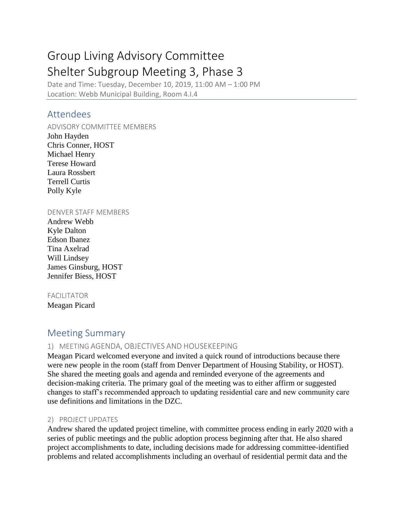# Group Living Advisory Committee Shelter Subgroup Meeting 3, Phase 3

Date and Time: Tuesday, December 10, 2019, 11:00 AM – 1:00 PM Location: Webb Municipal Building, Room 4.I.4

## Attendees

ADVISORY COMMITTEE MEMBERS

John Hayden Chris Conner, HOST Michael Henry Terese Howard Laura Rossbert Terrell Curtis Polly Kyle

#### DENVER STAFF MEMBERS

Andrew Webb Kyle Dalton Edson Ibanez Tina Axelrad Will Lindsey James Ginsburg, HOST Jennifer Biess, HOST

#### FACILITATOR

Meagan Picard

# Meeting Summary

#### 1) MEETING AGENDA, OBJECTIVES AND HOUSEKEEPING

Meagan Picard welcomed everyone and invited a quick round of introductions because there were new people in the room (staff from Denver Department of Housing Stability, or HOST). She shared the meeting goals and agenda and reminded everyone of the agreements and decision-making criteria. The primary goal of the meeting was to either affirm or suggested changes to staff's recommended approach to updating residential care and new community care use definitions and limitations in the DZC.

#### 2) PROJECT UPDATES

Andrew shared the updated project timeline, with committee process ending in early 2020 with a series of public meetings and the public adoption process beginning after that. He also shared project accomplishments to date, including decisions made for addressing committee-identified problems and related accomplishments including an overhaul of residential permit data and the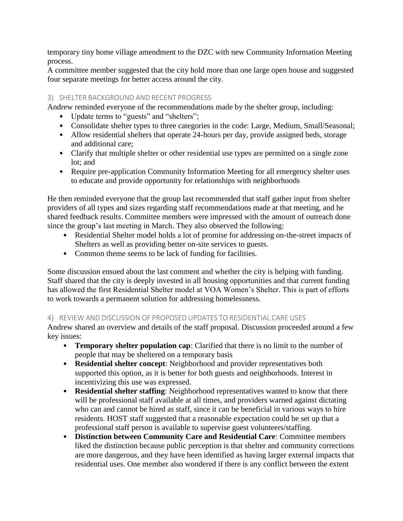temporary tiny home village amendment to the DZC with new Community Information Meeting process.

A committee member suggested that the city hold more than one large open house and suggested four separate meetings for better access around the city.

### 3) SHELTER BACKGROUND AND RECENT PROGRESS

Andrew reminded everyone of the recommendations made by the shelter group, including:

- Update terms to "guests" and "shelters";
- Consolidate shelter types to three categories in the code: Large, Medium, Small/Seasonal;
- Allow residential shelters that operate 24-hours per day, provide assigned beds, storage and additional care;
- Clarify that multiple shelter or other residential use types are permitted on a single zone lot; and
- Require pre-application Community Information Meeting for all emergency shelter uses to educate and provide opportunity for relationships with neighborhoods

He then reminded everyone that the group last recommended that staff gather input from shelter providers of all types and sizes regarding staff recommendations made at that meeting, and he shared feedback results. Committee members were impressed with the amount of outreach done since the group's last meeting in March. They also observed the following:

- Residential Shelter model holds a lot of promise for addressing on-the-street impacts of Shelters as well as providing better on-site services to guests.
- Common theme seems to be lack of funding for facilities.

Some discussion ensued about the last comment and whether the city is helping with funding. Staff shared that the city is deeply invested in all housing opportunities and that current funding has allowed the first Residential Shelter model at VOA Women's Shelter. This is part of efforts to work towards a permanent solution for addressing homelessness.

#### 4) REVIEW AND DISCUSSION OF PROPOSED UPDATES TO RESIDENTIAL CARE USES

Andrew shared an overview and details of the staff proposal. Discussion proceeded around a few key issues:

- **Temporary shelter population cap:** Clarified that there is no limit to the number of people that may be sheltered on a temporary basis
- **Residential shelter concept**: Neighborhood and provider representatives both supported this option, as it is better for both guests and neighborhoods. Interest in incentivizing this use was expressed.
- **Residential shelter staffing**: Neighborhood representatives wanted to know that there will be professional staff available at all times, and providers warned against dictating who can and cannot be hired as staff, since it can be beneficial in various ways to hire residents. HOST staff suggested that a reasonable expectation could be set up that a professional staff person is available to supervise guest volunteers/staffing.
- **Distinction between Community Care and Residential Care**: Committee members liked the distinction because public perception is that shelter and community corrections are more dangerous, and they have been identified as having larger external impacts that residential uses. One member also wondered if there is any conflict between the extent